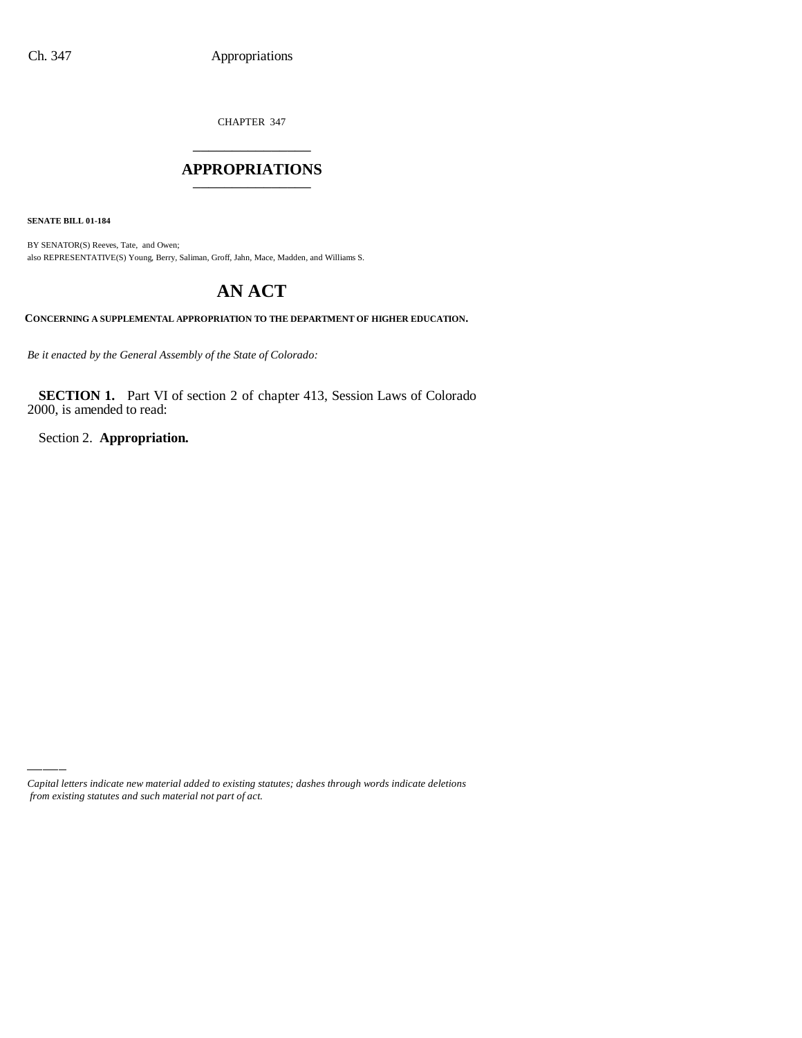CHAPTER 347 \_\_\_\_\_\_\_\_\_\_\_\_\_\_\_

#### **APPROPRIATIONS** \_\_\_\_\_\_\_\_\_\_\_\_\_\_\_

**SENATE BILL 01-184**

BY SENATOR(S) Reeves, Tate, and Owen; also REPRESENTATIVE(S) Young, Berry, Saliman, Groff, Jahn, Mace, Madden, and Williams S.

# **AN ACT**

**CONCERNING A SUPPLEMENTAL APPROPRIATION TO THE DEPARTMENT OF HIGHER EDUCATION.**

*Be it enacted by the General Assembly of the State of Colorado:*

**SECTION 1.** Part VI of section 2 of chapter 413, Session Laws of Colorado 2000, is amended to read:

Section 2. **Appropriation.**

*Capital letters indicate new material added to existing statutes; dashes through words indicate deletions from existing statutes and such material not part of act.*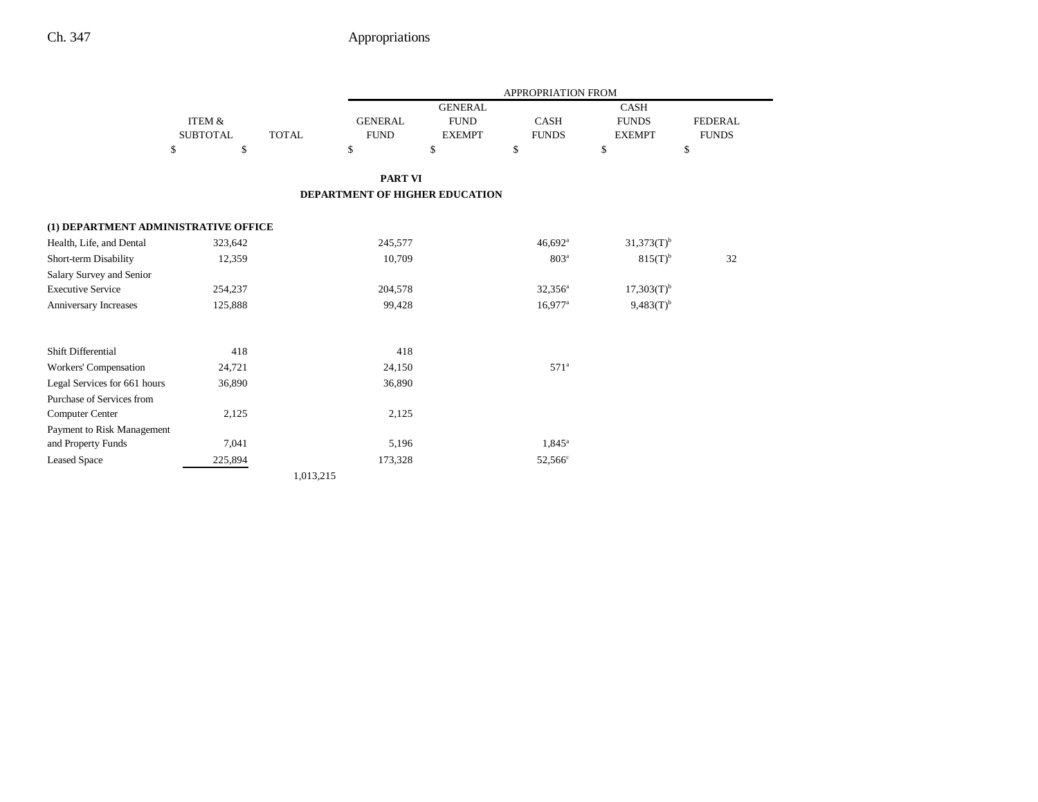|                                      |                   |              |                                |                | APPROPRIATION FROM    |                 |                |  |
|--------------------------------------|-------------------|--------------|--------------------------------|----------------|-----------------------|-----------------|----------------|--|
|                                      |                   |              |                                | <b>GENERAL</b> |                       | <b>CASH</b>     |                |  |
|                                      | <b>ITEM &amp;</b> |              | <b>FUND</b><br><b>GENERAL</b>  |                | <b>CASH</b>           | <b>FUNDS</b>    | <b>FEDERAL</b> |  |
|                                      | <b>SUBTOTAL</b>   | <b>TOTAL</b> | <b>FUND</b>                    | <b>EXEMPT</b>  | <b>FUNDS</b>          | <b>EXEMPT</b>   | <b>FUNDS</b>   |  |
|                                      | \$<br>\$          |              | \$                             | \$             | \$                    | \$              | \$             |  |
|                                      |                   |              | <b>PART VI</b>                 |                |                       |                 |                |  |
|                                      |                   |              | DEPARTMENT OF HIGHER EDUCATION |                |                       |                 |                |  |
| (1) DEPARTMENT ADMINISTRATIVE OFFICE |                   |              |                                |                |                       |                 |                |  |
| Health, Life, and Dental             | 323,642           |              | 245,577                        |                | 46,692 <sup>a</sup>   | $31,373(T)^{b}$ |                |  |
| Short-term Disability                | 12,359            |              | 10,709                         |                | 803 <sup>a</sup>      | $815(T)^{b}$    | 32             |  |
| Salary Survey and Senior             |                   |              |                                |                |                       |                 |                |  |
| <b>Executive Service</b>             | 254,237           |              | 204,578                        |                | $32,356^a$            | $17,303(T)^{b}$ |                |  |
| Anniversary Increases                | 125,888           |              | 99,428                         |                | $16.977$ <sup>a</sup> | $9,483(T)^{b}$  |                |  |
| Shift Differential                   | 418               |              | 418                            |                |                       |                 |                |  |
| Workers' Compensation                | 24,721            |              | 24,150                         |                | 571 <sup>a</sup>      |                 |                |  |
| Legal Services for 661 hours         | 36,890            |              | 36,890                         |                |                       |                 |                |  |
| Purchase of Services from            |                   |              |                                |                |                       |                 |                |  |
| <b>Computer Center</b>               | 2,125             |              | 2,125                          |                |                       |                 |                |  |
| Payment to Risk Management           |                   |              |                                |                |                       |                 |                |  |
| and Property Funds                   | 7,041             |              | 5,196                          |                | 1,845 <sup>a</sup>    |                 |                |  |
| <b>Leased Space</b>                  | 225,894           |              | 173,328                        |                | 52,566 <sup>c</sup>   |                 |                |  |
|                                      |                   | 1,013,215    |                                |                |                       |                 |                |  |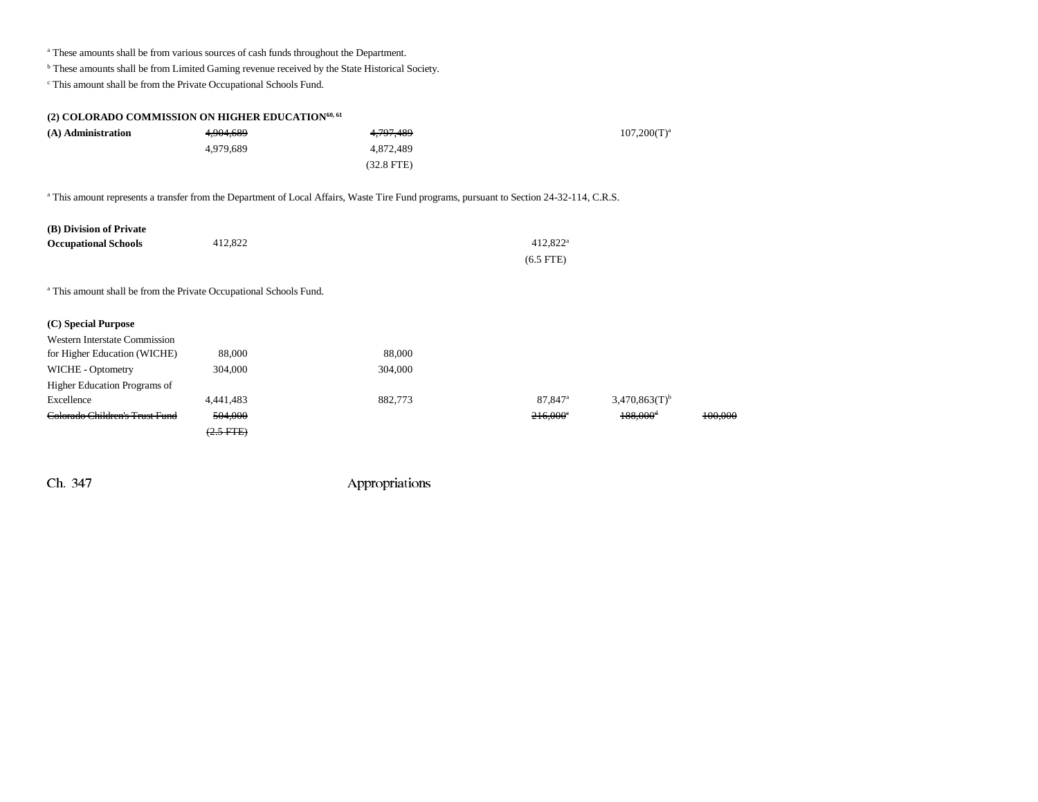<sup>a</sup> These amounts shall be from various sources of cash funds throughout the Department.

b These amounts shall be from Limited Gaming revenue received by the State Historical Society.

 $\,^{\mathrm{c}}$  This amount shall be from the Private Occupational Schools Fund.

| (2) COLORADO COMMISSION ON HIGHER EDUCATION <sup>60, 61</sup>                 |                                |                                                                                                                                                      |                     |                             |         |
|-------------------------------------------------------------------------------|--------------------------------|------------------------------------------------------------------------------------------------------------------------------------------------------|---------------------|-----------------------------|---------|
| (A) Administration                                                            | 4,904,689                      | 4,797,489                                                                                                                                            |                     |                             |         |
|                                                                               | 4,979,689                      | 4,872,489                                                                                                                                            |                     |                             |         |
|                                                                               |                                | $(32.8$ FTE $)$                                                                                                                                      |                     |                             |         |
|                                                                               |                                | <sup>a</sup> This amount represents a transfer from the Department of Local Affairs, Waste Tire Fund programs, pursuant to Section 24-32-114, C.R.S. |                     |                             |         |
| (B) Division of Private                                                       |                                |                                                                                                                                                      |                     |                             |         |
| <b>Occupational Schools</b>                                                   | 412,822                        |                                                                                                                                                      | $412,822^{\rm a}$   |                             |         |
|                                                                               |                                |                                                                                                                                                      | $(6.5$ FTE $)$      |                             |         |
| <sup>a</sup> This amount shall be from the Private Occupational Schools Fund. |                                |                                                                                                                                                      |                     |                             |         |
| (C) Special Purpose                                                           |                                |                                                                                                                                                      |                     |                             |         |
| <b>Western Interstate Commission</b>                                          |                                |                                                                                                                                                      |                     |                             |         |
| for Higher Education (WICHE)                                                  | 88,000                         | 88,000                                                                                                                                               |                     |                             |         |
| WICHE - Optometry                                                             | 304,000                        | 304,000                                                                                                                                              |                     |                             |         |
| Higher Education Programs of                                                  |                                |                                                                                                                                                      |                     |                             |         |
| Excellence                                                                    | 4,441,483                      | 882,773                                                                                                                                              | 87,847 <sup>a</sup> | $3,470,863(T)$ <sup>b</sup> |         |
| Colorado Children's Trust Fund                                                | 504,000                        |                                                                                                                                                      | 216,000°            | 188,000 <sup>4</sup>        | 100.000 |
|                                                                               | $\left(2.5 \text{ FFE}\right)$ |                                                                                                                                                      |                     |                             |         |
|                                                                               |                                |                                                                                                                                                      |                     |                             |         |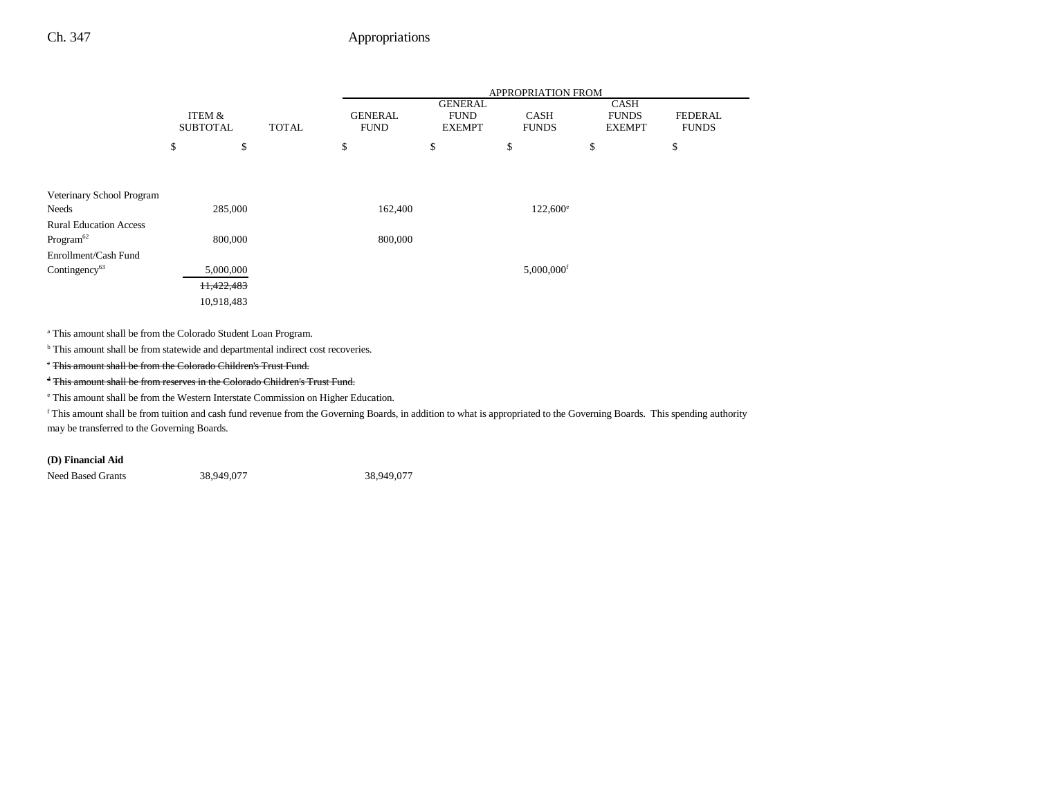|                               |                                      |              | APPROPRIATION FROM            |                                                |                             |                                              |                                |  |
|-------------------------------|--------------------------------------|--------------|-------------------------------|------------------------------------------------|-----------------------------|----------------------------------------------|--------------------------------|--|
|                               | <b>ITEM &amp;</b><br><b>SUBTOTAL</b> | <b>TOTAL</b> | <b>GENERAL</b><br><b>FUND</b> | <b>GENERAL</b><br><b>FUND</b><br><b>EXEMPT</b> | <b>CASH</b><br><b>FUNDS</b> | <b>CASH</b><br><b>FUNDS</b><br><b>EXEMPT</b> | <b>FEDERAL</b><br><b>FUNDS</b> |  |
|                               | \$                                   | \$           | \$                            | \$                                             | \$                          | \$                                           | \$                             |  |
|                               |                                      |              |                               |                                                |                             |                                              |                                |  |
| Veterinary School Program     |                                      |              |                               |                                                |                             |                                              |                                |  |
| Needs                         | 285,000                              |              | 162,400                       |                                                | $122,600^{\circ}$           |                                              |                                |  |
| <b>Rural Education Access</b> |                                      |              |                               |                                                |                             |                                              |                                |  |
| Program <sup>62</sup>         | 800,000                              |              | 800,000                       |                                                |                             |                                              |                                |  |
| Enrollment/Cash Fund          |                                      |              |                               |                                                |                             |                                              |                                |  |
| Contingency <sup>63</sup>     | 5,000,000                            |              |                               |                                                | $5,000,000$ <sup>f</sup>    |                                              |                                |  |
|                               | 11,422,483                           |              |                               |                                                |                             |                                              |                                |  |
|                               | 10,918,483                           |              |                               |                                                |                             |                                              |                                |  |
|                               |                                      |              |                               |                                                |                             |                                              |                                |  |

a This amount shall be from the Colorado Student Loan Program.

 $^{\rm b}$  This amount shall be from statewide and departmental indirect cost recoveries.

c This amount shall be from the Colorado Children's Trust Fund.

d This amount shall be from reserves in the Colorado Children's Trust Fund.

e This amount shall be from the Western Interstate Commission on Higher Education.

f This amount shall be from tuition and cash fund revenue from the Governing Boards, in addition to what is appropriated to the Governing Boards. This spending authority may be transferred to the Governing Boards.

#### **(D) Financial Aid**

Need Based Grants 38,949,077 38,949,077 38,949,077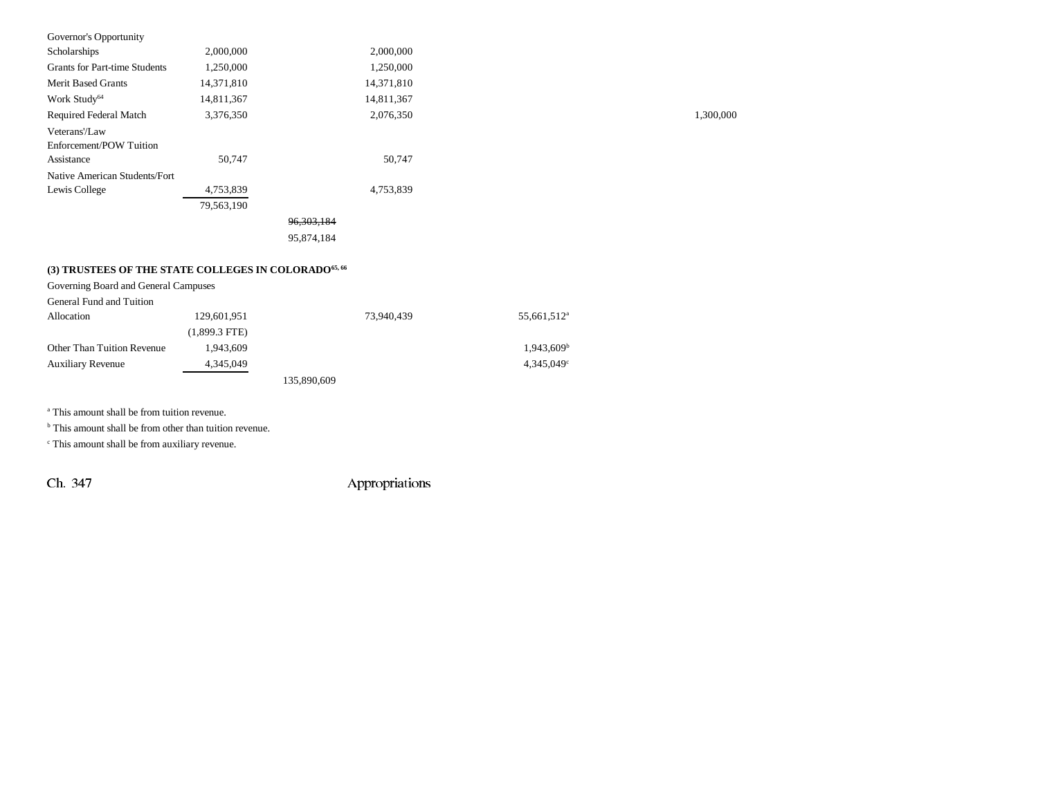| Governor's Opportunity                                           |            |              |            |
|------------------------------------------------------------------|------------|--------------|------------|
| Scholarships                                                     | 2,000,000  |              | 2,000,000  |
| <b>Grants for Part-time Students</b>                             | 1,250,000  |              | 1,250,000  |
| <b>Merit Based Grants</b>                                        | 14,371,810 |              | 14,371,810 |
| Work Study <sup>64</sup>                                         | 14,811,367 |              | 14,811,367 |
| Required Federal Match                                           | 3,376,350  |              | 2,076,350  |
| Veterans'/Law                                                    |            |              |            |
| Enforcement/POW Tuition                                          |            |              |            |
| Assistance                                                       | 50,747     |              | 50,747     |
| Native American Students/Fort                                    |            |              |            |
| Lewis College                                                    | 4,753,839  |              | 4,753,839  |
|                                                                  | 79,563,190 |              |            |
|                                                                  |            | 96, 303, 184 |            |
|                                                                  |            | 95,874,184   |            |
|                                                                  |            |              |            |
| (3) TRUSTEES OF THE STATE COLLEGES IN COLORADO <sup>65, 66</sup> |            |              |            |

| Governing Board and General Campuses |                 |             |                          |
|--------------------------------------|-----------------|-------------|--------------------------|
| General Fund and Tuition             |                 |             |                          |
| Allocation                           | 129,601,951     | 73,940,439  | 55,661,512 <sup>a</sup>  |
|                                      | $(1,899.3$ FTE) |             |                          |
| <b>Other Than Tuition Revenue</b>    | 1.943.609       |             | $1,943,609$ <sup>b</sup> |
| <b>Auxiliary Revenue</b>             | 4,345,049       |             | $4.345.049^{\circ}$      |
|                                      |                 | 135,890,609 |                          |

a This amount shall be from tuition revenue.

<sup>b</sup> This amount shall be from other than tuition revenue.

c This amount shall be from auxiliary revenue.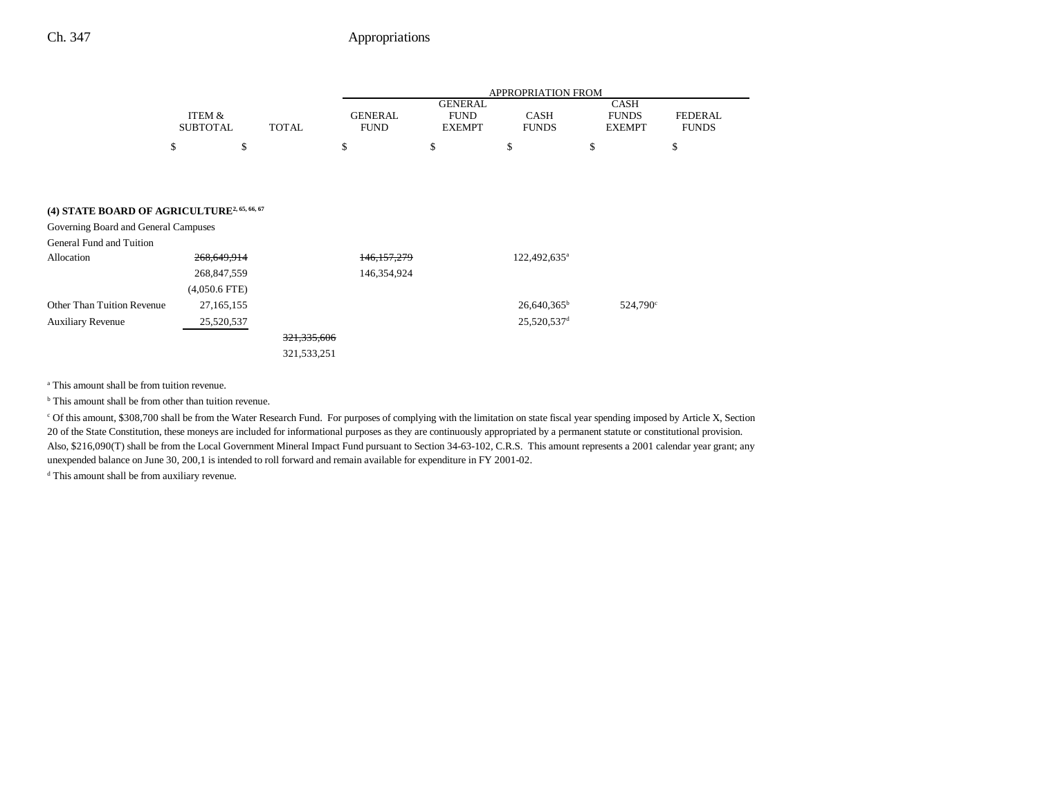|                 |              |                |                | APPROPRIATION FROM |               |              |
|-----------------|--------------|----------------|----------------|--------------------|---------------|--------------|
|                 |              |                | <b>GENERAL</b> |                    | <b>CASH</b>   |              |
| ITEM &          |              | <b>GENERAL</b> | <b>FUND</b>    | CASH               | <b>FUNDS</b>  | FEDERAL      |
| <b>SUBTOTAL</b> | <b>TOTAL</b> | FUND           | <b>EXEMPT</b>  | <b>FUNDS</b>       | <b>EXEMPT</b> | <b>FUNDS</b> |
| \$              |              |                |                |                    |               |              |

## **(4) STATE BOARD OF AGRICULTURE2, 65, 66, 67**

| Governing Board and General Campuses |                 |               |               |                          |                      |
|--------------------------------------|-----------------|---------------|---------------|--------------------------|----------------------|
| General Fund and Tuition             |                 |               |               |                          |                      |
| Allocation                           | 268,649,914     |               | 146, 157, 279 | 122,492,635 <sup>a</sup> |                      |
|                                      | 268,847,559     |               | 146,354,924   |                          |                      |
|                                      | $(4,050.6$ FTE) |               |               |                          |                      |
| Other Than Tuition Revenue           | 27,165,155      |               |               | $26,640,365^{\rm b}$     | 524.790 <sup>c</sup> |
| <b>Auxiliary Revenue</b>             | 25,520,537      |               |               | 25,520,537 <sup>d</sup>  |                      |
|                                      |                 | 321, 335, 606 |               |                          |                      |
|                                      |                 | 321, 533, 251 |               |                          |                      |

a This amount shall be from tuition revenue.

<sup>b</sup> This amount shall be from other than tuition revenue.

c Of this amount, \$308,700 shall be from the Water Research Fund. For purposes of complying with the limitation on state fiscal year spending imposed by Article X, Section 20 of the State Constitution, these moneys are included for informational purposes as they are continuously appropriated by a permanent statute or constitutional provision. Also, \$216,090(T) shall be from the Local Government Mineral Impact Fund pursuant to Section 34-63-102, C.R.S. This amount represents a 2001 calendar year grant; any unexpended balance on June 30, 200,1 is intended to roll forward and remain available for expenditure in FY 2001-02.

<sup>d</sup> This amount shall be from auxiliary revenue.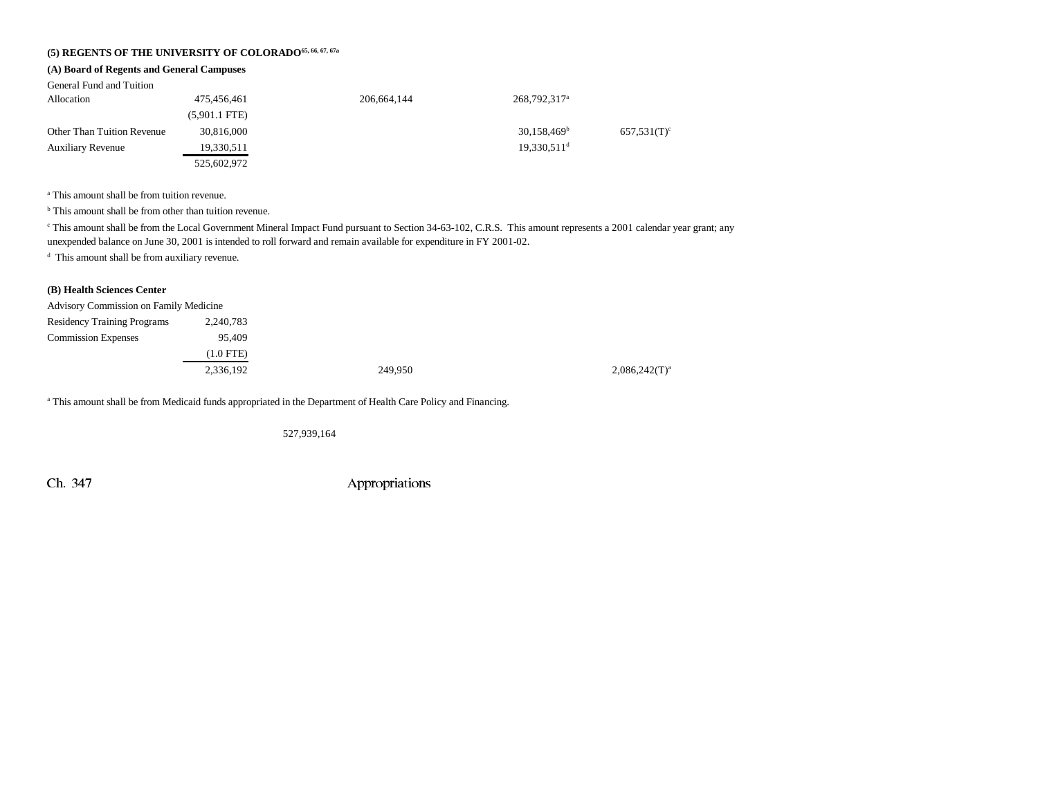### **(5) REGENTS OF THE UNIVERSITY OF COLORADO65, 66, 67, 67a**

#### **(A) Board of Regents and General Campuses**

| General Fund and Tuition          |                 |               |                           |                |
|-----------------------------------|-----------------|---------------|---------------------------|----------------|
| Allocation                        | 475,456,461     | 206, 664, 144 | 268,792,317 <sup>a</sup>  |                |
|                                   | $(5,901.1$ FTE) |               |                           |                |
| <b>Other Than Tuition Revenue</b> | 30,816,000      |               | $30,158,469^{\rm b}$      | $657,531(T)$ ° |
| <b>Auxiliary Revenue</b>          | 19,330,511      |               | $19,330,511$ <sup>d</sup> |                |
|                                   | 525,602,972     |               |                           |                |

a This amount shall be from tuition revenue.

<sup>b</sup> This amount shall be from other than tuition revenue.

<sup>c</sup> This amount shall be from the Local Government Mineral Impact Fund pursuant to Section 34-63-102, C.R.S. This amount represents a 2001 calendar year grant; any unexpended balance on June 30, 2001 is intended to roll forward and remain available for expenditure in FY 2001-02.

d This amount shall be from auxiliary revenue.

#### **(B) Health Sciences Center**

| <b>Advisory Commission on Family Medicine</b> |           |         |                  |
|-----------------------------------------------|-----------|---------|------------------|
| <b>Residency Training Programs</b>            | 2,240,783 |         |                  |
| <b>Commission Expenses</b>                    | 95.409    |         |                  |
|                                               | (1.0 FTE) |         |                  |
|                                               | 2,336,192 | 249,950 | $2,086,242(T)^3$ |
|                                               |           |         |                  |

a This amount shall be from Medicaid funds appropriated in the Department of Health Care Policy and Financing.

527,939,164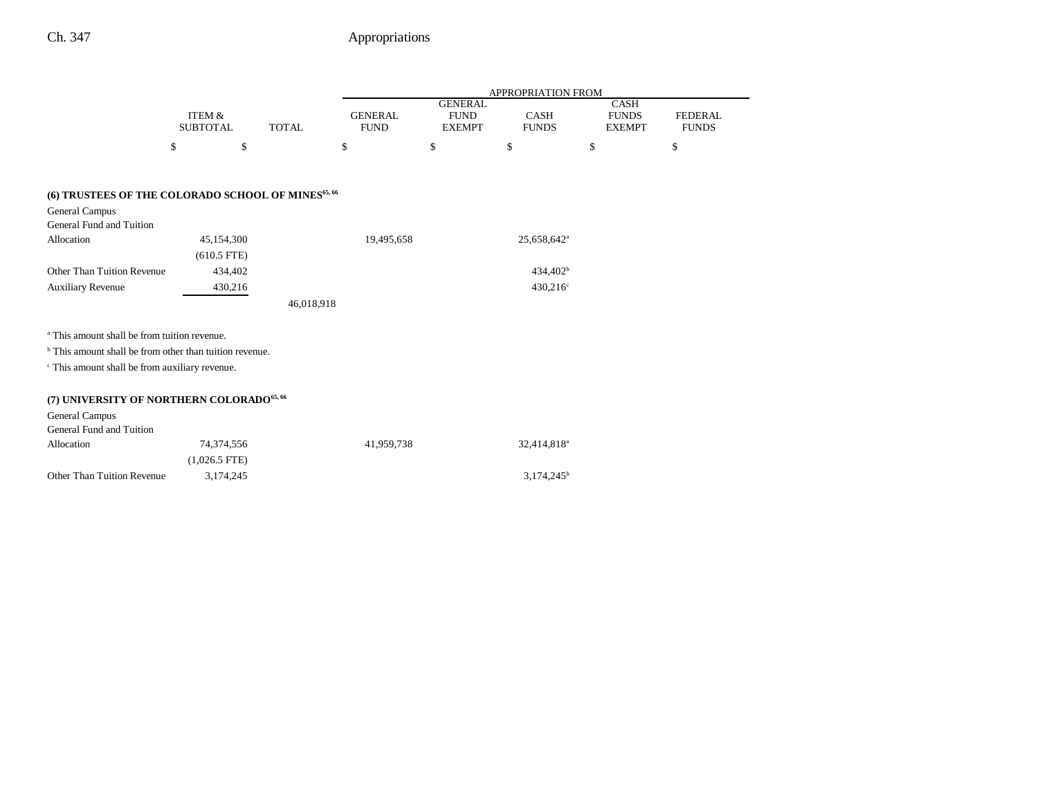|                                                                    |                                      |              |                               |                                                | <b>APPROPRIATION FROM</b>   |                                              |                                |
|--------------------------------------------------------------------|--------------------------------------|--------------|-------------------------------|------------------------------------------------|-----------------------------|----------------------------------------------|--------------------------------|
|                                                                    | <b>ITEM &amp;</b><br><b>SUBTOTAL</b> | <b>TOTAL</b> | <b>GENERAL</b><br><b>FUND</b> | <b>GENERAL</b><br><b>FUND</b><br><b>EXEMPT</b> | <b>CASH</b><br><b>FUNDS</b> | <b>CASH</b><br><b>FUNDS</b><br><b>EXEMPT</b> | <b>FEDERAL</b><br><b>FUNDS</b> |
|                                                                    | \$<br>\$                             |              | \$                            | \$                                             | \$                          | \$                                           | \$                             |
| (6) TRUSTEES OF THE COLORADO SCHOOL OF MINES <sup>65, 66</sup>     |                                      |              |                               |                                                |                             |                                              |                                |
| <b>General Campus</b>                                              |                                      |              |                               |                                                |                             |                                              |                                |
| General Fund and Tuition                                           |                                      |              |                               |                                                |                             |                                              |                                |
| Allocation                                                         | 45,154,300                           |              | 19,495,658                    |                                                | 25,658,642 <sup>a</sup>     |                                              |                                |
|                                                                    | $(610.5$ FTE)                        |              |                               |                                                |                             |                                              |                                |
| Other Than Tuition Revenue                                         | 434,402                              |              |                               |                                                | 434,402 <sup>b</sup>        |                                              |                                |
| <b>Auxiliary Revenue</b>                                           | 430,216                              |              |                               |                                                | 430,216 <sup>c</sup>        |                                              |                                |
|                                                                    |                                      | 46,018,918   |                               |                                                |                             |                                              |                                |
| <sup>a</sup> This amount shall be from tuition revenue.            |                                      |              |                               |                                                |                             |                                              |                                |
| <sup>b</sup> This amount shall be from other than tuition revenue. |                                      |              |                               |                                                |                             |                                              |                                |
| <sup>c</sup> This amount shall be from auxiliary revenue.          |                                      |              |                               |                                                |                             |                                              |                                |
| (7) UNIVERSITY OF NORTHERN COLORADO <sup>65, 66</sup>              |                                      |              |                               |                                                |                             |                                              |                                |
| General Campus                                                     |                                      |              |                               |                                                |                             |                                              |                                |
| General Fund and Tuition                                           |                                      |              |                               |                                                |                             |                                              |                                |
| Allocation                                                         | 74,374,556                           |              | 41,959,738                    |                                                | 32,414,818 <sup>a</sup>     |                                              |                                |
|                                                                    | $(1,026.5$ FTE)                      |              |                               |                                                |                             |                                              |                                |
| <b>Other Than Tuition Revenue</b>                                  | 3,174,245                            |              |                               |                                                | $3,174,245^b$               |                                              |                                |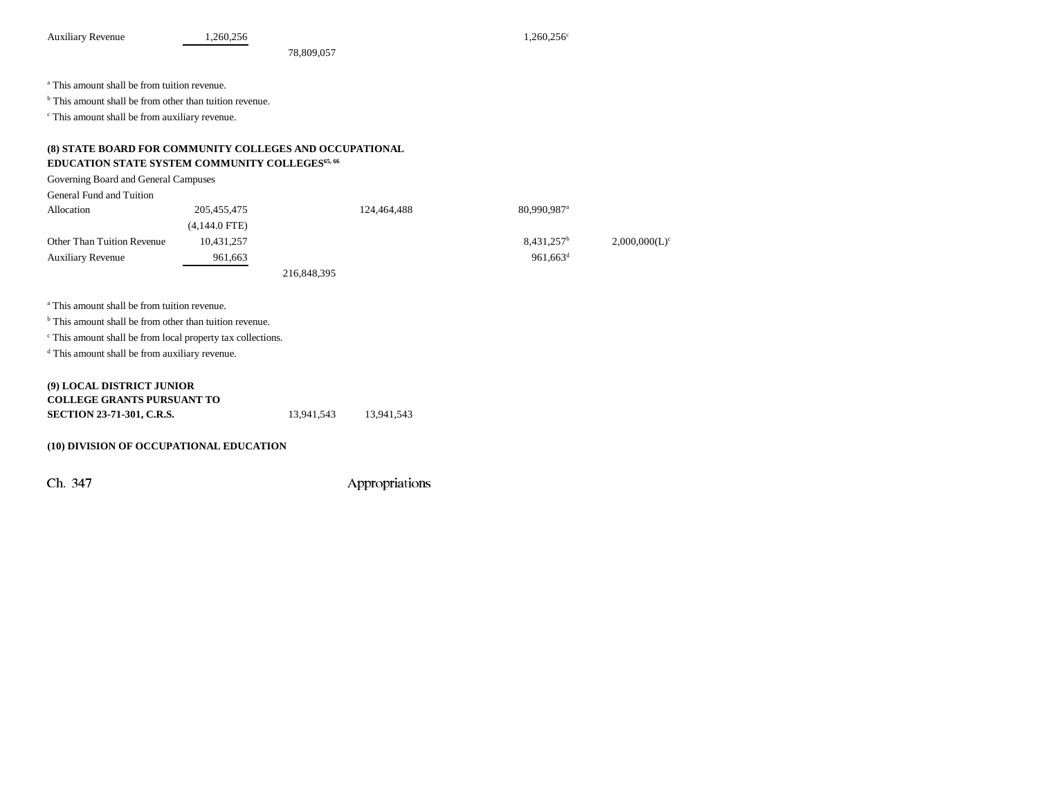Auxiliary Revenue 1,260,256 1,260,256 1,260,256

78,809,057

a This amount shall be from tuition revenue.

<sup>b</sup> This amount shall be from other than tuition revenue.

c This amount shall be from auxiliary revenue.

#### **(8) STATE BOARD FOR COMMUNITY COLLEGES AND OCCUPATIONAL EDUCATION STATE SYSTEM COMMUNITY COLLEGES65, 66**

Governing Board and General Campuses

| General Fund and Tuition          |                 |             |             |                         |                  |
|-----------------------------------|-----------------|-------------|-------------|-------------------------|------------------|
| Allocation                        | 205,455,475     |             | 124,464,488 | 80.990.987 <sup>a</sup> |                  |
|                                   | $(4,144.0$ FTE) |             |             |                         |                  |
| <b>Other Than Tuition Revenue</b> | 10,431,257      |             |             | $8,431,257^b$           | $2,000,000(L)^c$ |
| <b>Auxiliary Revenue</b>          | 961,663         |             |             | 961.663 <sup>d</sup>    |                  |
|                                   |                 | 216,848,395 |             |                         |                  |

a This amount shall be from tuition revenue.

<sup>b</sup> This amount shall be from other than tuition revenue.

c This amount shall be from local property tax collections.

d This amount shall be from auxiliary revenue.

#### **(9) LOCAL DISTRICT JUNIOR COLLEGE GRANTS PURSUANT TOSECTION 23-71-301, C.R.S.** 13,941,543 13,941,543

#### **(10) DIVISION OF OCCUPATIONAL EDUCATION**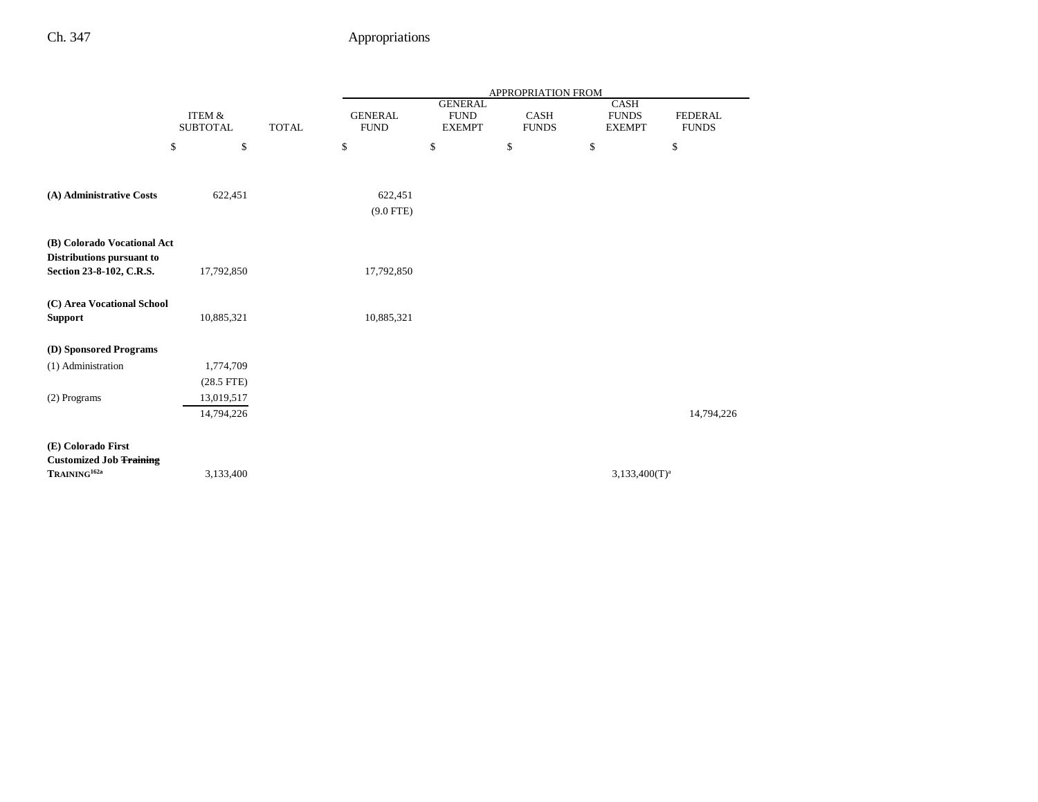|                                                                                      |                                      |              |                               |                                                | <b>APPROPRIATION FROM</b>   |                                              |                                |
|--------------------------------------------------------------------------------------|--------------------------------------|--------------|-------------------------------|------------------------------------------------|-----------------------------|----------------------------------------------|--------------------------------|
|                                                                                      | <b>ITEM &amp;</b><br><b>SUBTOTAL</b> | <b>TOTAL</b> | <b>GENERAL</b><br><b>FUND</b> | <b>GENERAL</b><br><b>FUND</b><br><b>EXEMPT</b> | <b>CASH</b><br><b>FUNDS</b> | <b>CASH</b><br><b>FUNDS</b><br><b>EXEMPT</b> | <b>FEDERAL</b><br><b>FUNDS</b> |
|                                                                                      | \$<br>$\mathbb{S}$                   |              | \$                            | $\mathbb{S}$                                   | $\mathbb S$                 | \$                                           | \$                             |
| (A) Administrative Costs                                                             | 622,451                              |              | 622,451<br>$(9.0$ FTE)        |                                                |                             |                                              |                                |
| (B) Colorado Vocational Act<br>Distributions pursuant to<br>Section 23-8-102, C.R.S. | 17,792,850                           |              | 17,792,850                    |                                                |                             |                                              |                                |
| (C) Area Vocational School<br><b>Support</b>                                         | 10,885,321                           |              | 10,885,321                    |                                                |                             |                                              |                                |
| (D) Sponsored Programs                                                               |                                      |              |                               |                                                |                             |                                              |                                |
| (1) Administration                                                                   | 1,774,709                            |              |                               |                                                |                             |                                              |                                |
|                                                                                      | $(28.5$ FTE)                         |              |                               |                                                |                             |                                              |                                |
| (2) Programs                                                                         | 13,019,517                           |              |                               |                                                |                             |                                              |                                |
|                                                                                      | 14,794,226                           |              |                               |                                                |                             |                                              | 14,794,226                     |
| (E) Colorado First<br><b>Customized Job Training</b><br>$\mathbf{TRAINING}^{162a}$   | 3,133,400                            |              |                               |                                                |                             | $3,133,400(T)^{a}$                           |                                |
|                                                                                      |                                      |              |                               |                                                |                             |                                              |                                |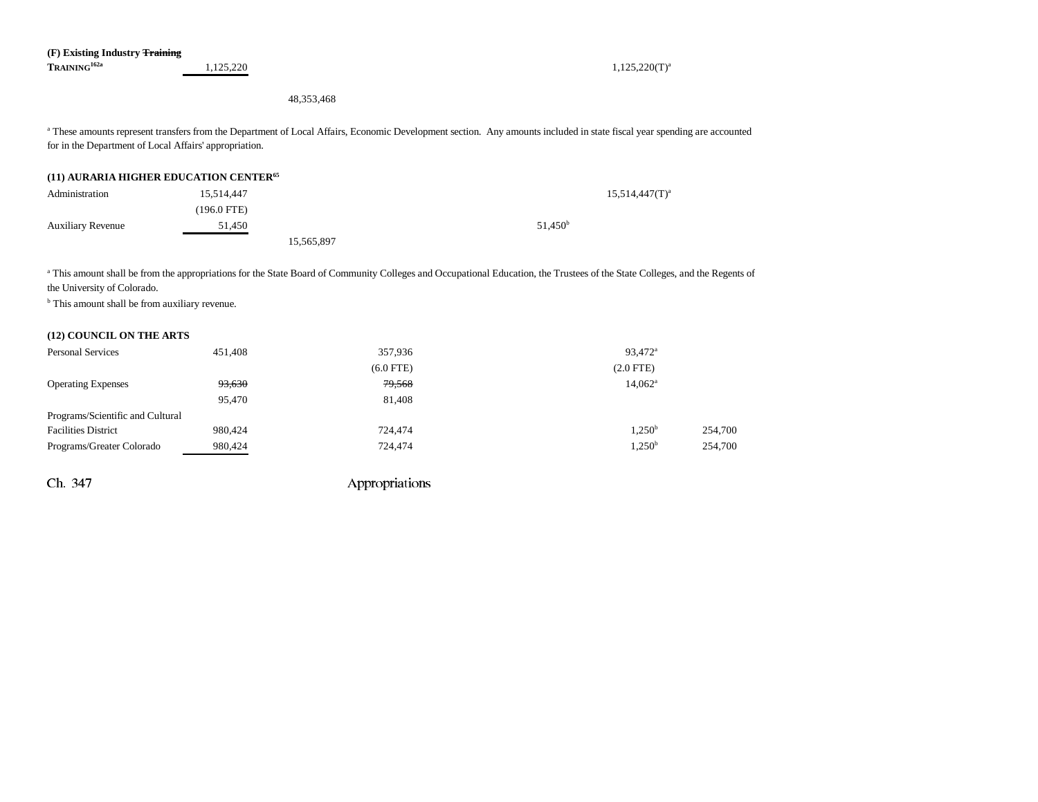48,353,468

<sup>a</sup> These amounts represent transfers from the Department of Local Affairs, Economic Development section. Any amounts included in state fiscal year spending are accounted for in the Department of Local Affairs' appropriation.

#### **(11) AURARIA HIGHER EDUCATION CENTER65**

| Administration           | 15.514.447  |            |                     | $15.514,447(T)^a$ |
|--------------------------|-------------|------------|---------------------|-------------------|
|                          | (196.0 FTE) |            |                     |                   |
| <b>Auxiliary Revenue</b> | 51,450      |            | 51.450 <sup>b</sup> |                   |
|                          |             | 15,565,897 |                     |                   |

<sup>a</sup> This amount shall be from the appropriations for the State Board of Community Colleges and Occupational Education, the Trustees of the State Colleges, and the Regents of the University of Colorado.

<sup>b</sup> This amount shall be from auxiliary revenue.

#### **(12) COUNCIL ON THE ARTS**

| <b>Personal Services</b>         | 451,408 | 357,936     | 93,472 <sup>a</sup> |         |
|----------------------------------|---------|-------------|---------------------|---------|
|                                  |         | $(6.0$ FTE) | $(2.0$ FTE)         |         |
| <b>Operating Expenses</b>        | 93,630  | 79,568      | $14,062^{\rm a}$    |         |
|                                  | 95,470  | 81,408      |                     |         |
| Programs/Scientific and Cultural |         |             |                     |         |
| <b>Facilities District</b>       | 980,424 | 724.474     | 1.250 <sup>b</sup>  | 254,700 |
| Programs/Greater Colorado        | 980,424 | 724,474     | $1,250^{\rm b}$     | 254,700 |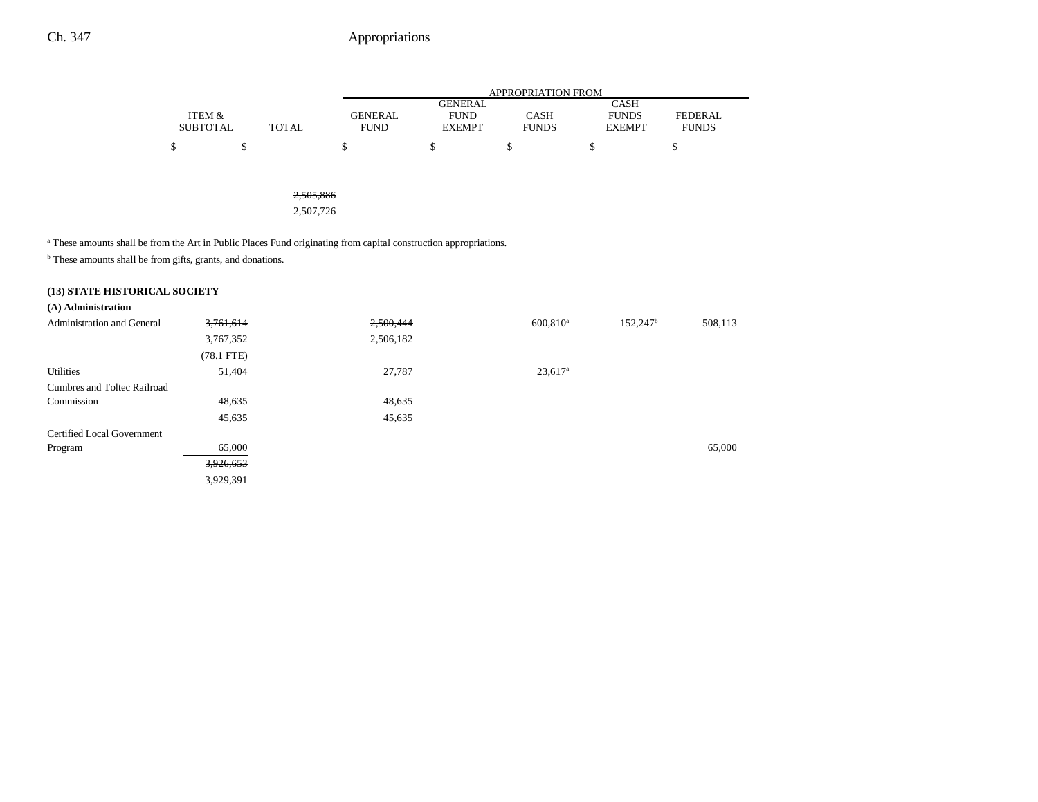|                 |       |             |               | APPROPRIATION FROM |               |                |
|-----------------|-------|-------------|---------------|--------------------|---------------|----------------|
|                 |       |             | GENERAL       |                    | CASH          |                |
| ITEM &          |       | GENERAL     | <b>FUND</b>   | <b>CASH</b>        | <b>FUNDS</b>  | <b>FEDERAL</b> |
| <b>SUBTOTAL</b> | TOTAL | <b>FUND</b> | <b>EXEMPT</b> | <b>FUNDS</b>       | <b>EXEMPT</b> | <b>FUNDS</b>   |
|                 |       |             |               |                    |               |                |

2,505,886

2,507,726

<sup>a</sup> These amounts shall be from the Art in Public Places Fund originating from capital construction appropriations.

 $^{\rm b}$  These amounts shall be from gifts, grants, and donations.

### **(13) STATE HISTORICAL SOCIETY**

| (A) Administration                |              |           |                       |                   |         |
|-----------------------------------|--------------|-----------|-----------------------|-------------------|---------|
| <b>Administration and General</b> | 3,761,614    | 2,500,444 | $600,810^a$           | $152,247^{\rm b}$ | 508,113 |
|                                   | 3,767,352    | 2,506,182 |                       |                   |         |
|                                   | $(78.1$ FTE) |           |                       |                   |         |
| Utilities                         | 51,404       | 27,787    | $23,617$ <sup>a</sup> |                   |         |
| Cumbres and Toltec Railroad       |              |           |                       |                   |         |
| Commission                        | 48,635       | 48,635    |                       |                   |         |
|                                   | 45,635       | 45,635    |                       |                   |         |
| Certified Local Government        |              |           |                       |                   |         |
| Program                           | 65,000       |           |                       |                   | 65,000  |
|                                   | 3,926,653    |           |                       |                   |         |
|                                   | 3,929,391    |           |                       |                   |         |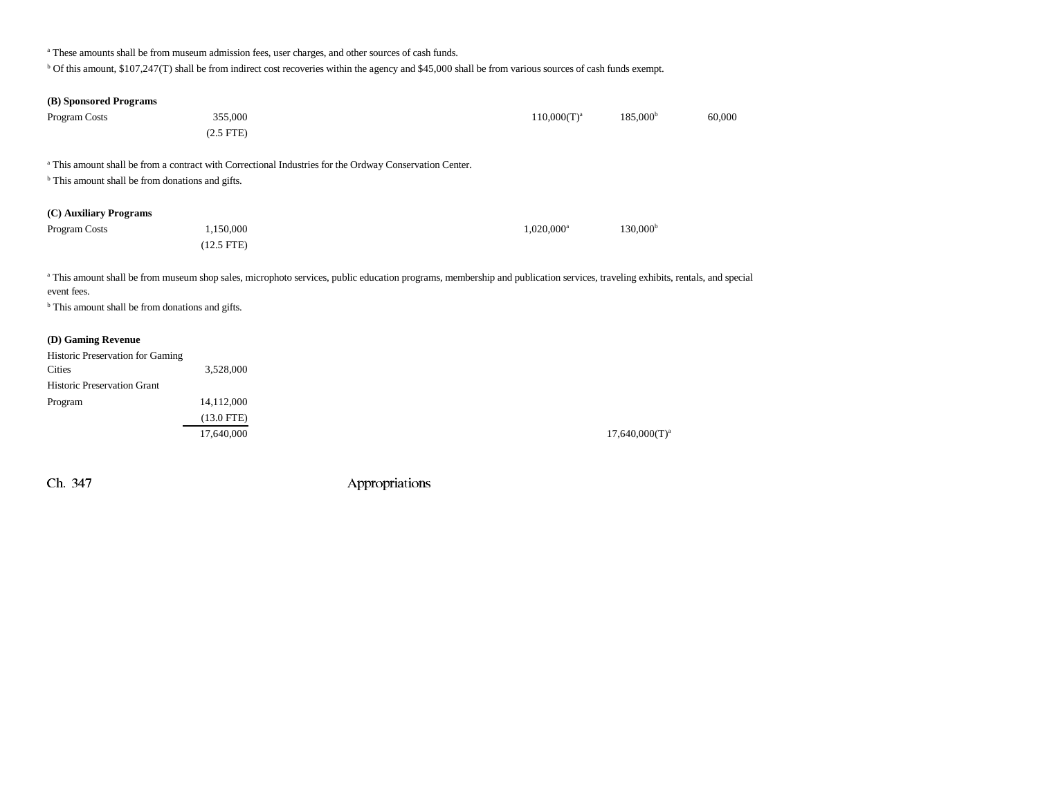<sup>a</sup> These amounts shall be from museum admission fees, user charges, and other sources of cash funds.

b Of this amount, \$107,247(T) shall be from indirect cost recoveries within the agency and \$45,000 shall be from various sources of cash funds exempt.

| (B) Sponsored Programs                                      |                                                                                                                                                                              |                          |                   |        |
|-------------------------------------------------------------|------------------------------------------------------------------------------------------------------------------------------------------------------------------------------|--------------------------|-------------------|--------|
| Program Costs                                               | 355,000                                                                                                                                                                      | $110,000(T)^a$           | $185,000^{\rm b}$ | 60,000 |
|                                                             | $(2.5$ FTE $)$                                                                                                                                                               |                          |                   |        |
|                                                             | a This amount shall be from a contract with Correctional Industries for the Ordway Conservation Center.                                                                      |                          |                   |        |
| <sup>b</sup> This amount shall be from donations and gifts. |                                                                                                                                                                              |                          |                   |        |
|                                                             |                                                                                                                                                                              |                          |                   |        |
| (C) Auxiliary Programs                                      |                                                                                                                                                                              |                          |                   |        |
| Program Costs                                               | 1,150,000                                                                                                                                                                    | $1,020,000$ <sup>a</sup> | $130,000^{\rm b}$ |        |
|                                                             | $(12.5$ FTE $)$                                                                                                                                                              |                          |                   |        |
|                                                             |                                                                                                                                                                              |                          |                   |        |
| event fees.                                                 | a This amount shall be from museum shop sales, microphoto services, public education programs, membership and publication services, traveling exhibits, rentals, and special |                          |                   |        |
| <sup>b</sup> This amount shall be from donations and gifts. |                                                                                                                                                                              |                          |                   |        |
|                                                             |                                                                                                                                                                              |                          |                   |        |
| (D) Gaming Revenue                                          |                                                                                                                                                                              |                          |                   |        |
| Historic Preservation for Gaming                            |                                                                                                                                                                              |                          |                   |        |
| <b>Cities</b>                                               | 3,528,000                                                                                                                                                                    |                          |                   |        |
| <b>Historic Preservation Grant</b>                          |                                                                                                                                                                              |                          |                   |        |
| Program                                                     | 14,112,000                                                                                                                                                                   |                          |                   |        |
|                                                             | $(13.0$ FTE)                                                                                                                                                                 |                          |                   |        |
|                                                             | 17,640,000                                                                                                                                                                   |                          | $17,640,000(T)^a$ |        |
|                                                             |                                                                                                                                                                              |                          |                   |        |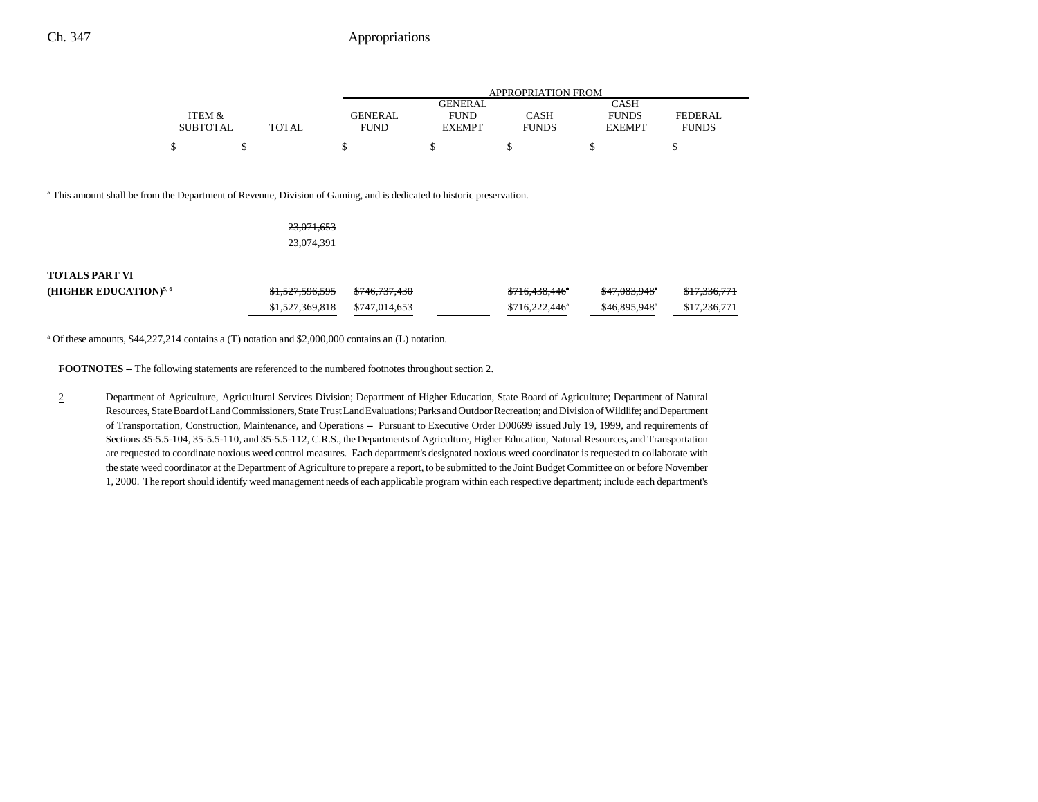|                 |       |                |               | APPROPRIATION FROM |               |                |
|-----------------|-------|----------------|---------------|--------------------|---------------|----------------|
|                 |       |                | GENERAL       |                    | CASH          |                |
| ITEM &          |       | <b>GENERAL</b> | <b>FUND</b>   | CASH               | <b>FUNDS</b>  | <b>FEDERAL</b> |
| <b>SUBTOTAL</b> | TOTAL | <b>FUND</b>    | <b>EXEMPT</b> | <b>FUNDS</b>       | <b>EXEMPT</b> | <b>FUNDS</b>   |
| ¢               |       |                |               |                    |               |                |

<sup>a</sup> This amount shall be from the Department of Revenue, Division of Gaming, and is dedicated to historic preservation.

23,071,653 23,074,391

| <b>TOTALS PART VI</b>    |                            |                          |                            |                           |                         |
|--------------------------|----------------------------|--------------------------|----------------------------|---------------------------|-------------------------|
| (HIGHER EDUCATION) $5,6$ | <del>\$1,527,596,595</del> | <del>\$746,737,430</del> | <del>\$716,438,446</del> ° | \$47,083,948°             | <del>\$17,336,771</del> |
|                          | \$1,527,369,818            | \$747.014.653            | $$716.222.446^a$           | \$46,895,948 <sup>a</sup> | \$17.236.771            |

a Of these amounts, \$44,227,214 contains a (T) notation and \$2,000,000 contains an (L) notation.

**FOOTNOTES** -- The following statements are referenced to the numbered footnotes throughout section 2.

2 Department of Agriculture, Agricultural Services Division; Department of Higher Education, State Board of Agriculture; Department of Natural Resources, State Board of Land Commissioners, State Trust Land Evaluations; Parks and Outdoor Recreation; and Division of Wildlife; and Department of Transportation, Construction, Maintenance, and Operations -- Pursuant to Executive Order D00699 issued July 19, 1999, and requirements of Sections 35-5.5-104, 35-5.5-110, and 35-5.5-112, C.R.S., the Departments of Agriculture, Higher Education, Natural Resources, and Transportation are requested to coordinate noxious weed control measures. Each department's designated noxious weed coordinator is requested to collaborate with the state weed coordinator at the Department of Agriculture to prepare a report, to be submitted to the Joint Budget Committee on or before November 1, 2000. The report should identify weed management needs of each applicable program within each respective department; include each department's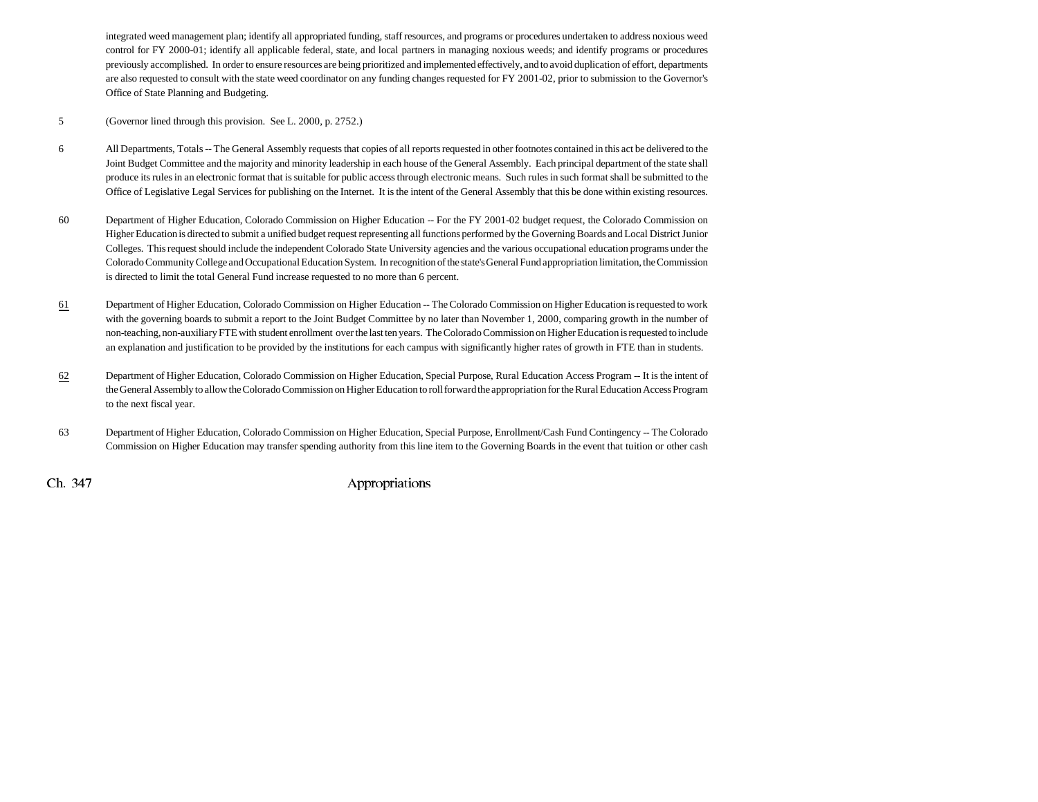integrated weed management plan; identify all appropriated funding, staff resources, and programs or procedures undertaken to address noxious weed control for FY 2000-01; identify all applicable federal, state, and local partners in managing noxious weeds; and identify programs or procedures previously accomplished. In order to ensure resources are being prioritized and implemented effectively, and to avoid duplication of effort, departments are also requested to consult with the state weed coordinator on any funding changes requested for FY 2001-02, prior to submission to the Governor's Office of State Planning and Budgeting.

- 5 (Governor lined through this provision. See L. 2000, p. 2752.)
- 6 All Departments, Totals -- The General Assembly requests that copies of all reports requested in other footnotes contained in this act be delivered to the Joint Budget Committee and the majority and minority leadership in each house of the General Assembly. Each principal department of the state shall produce its rules in an electronic format that is suitable for public access through electronic means. Such rules in such format shall be submitted to the Office of Legislative Legal Services for publishing on the Internet. It is the intent of the General Assembly that this be done within existing resources.
- 60 Department of Higher Education, Colorado Commission on Higher Education -- For the FY 2001-02 budget request, the Colorado Commission on Higher Education is directed to submit a unified budget request representing all functions performed by the Governing Boards and Local District Junior Colleges. This request should include the independent Colorado State University agencies and the various occupational education programs under the Colorado Community College and Occupational Education System. In recognition of the state's General Fund appropriation limitation, the Commission is directed to limit the total General Fund increase requested to no more than 6 percent.
- 61 Department of Higher Education, Colorado Commission on Higher Education -- The Colorado Commission on Higher Education is requested to work with the governing boards to submit a report to the Joint Budget Committee by no later than November 1, 2000, comparing growth in the number of non-teaching, non-auxiliary FTE with student enrollment over the last ten years. The Colorado Commission on Higher Education is requested to include an explanation and justification to be provided by the institutions for each campus with significantly higher rates of growth in FTE than in students.
- 62 Department of Higher Education, Colorado Commission on Higher Education, Special Purpose, Rural Education Access Program -- It is the intent of the General Assembly to allow the Colorado Commission on Higher Education to roll forward the appropriation for the Rural Education Access Program to the next fiscal year.
- 63 Department of Higher Education, Colorado Commission on Higher Education, Special Purpose, Enrollment/Cash Fund Contingency -- The Colorado Commission on Higher Education may transfer spending authority from this line item to the Governing Boards in the event that tuition or other cash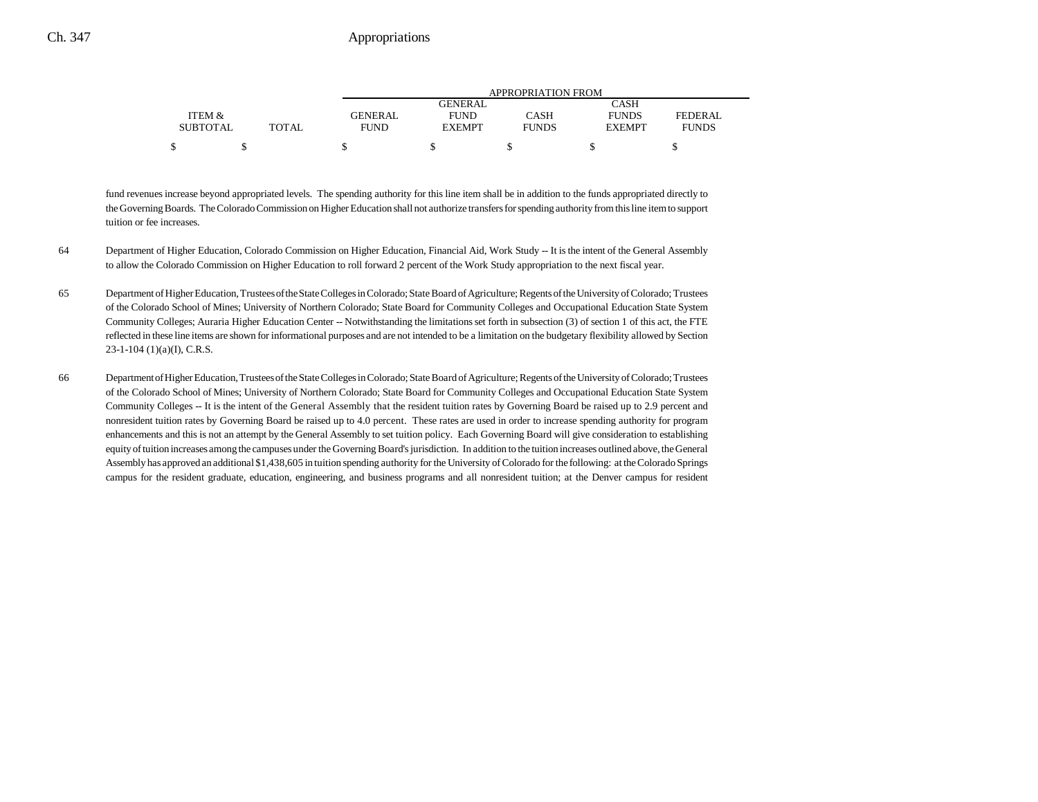|                 |       |                |                | APPROPRIATION FROM |               |              |
|-----------------|-------|----------------|----------------|--------------------|---------------|--------------|
|                 |       |                | <b>GENERAL</b> |                    | CASH          |              |
| ITEM &          |       | <b>GENERAL</b> | <b>FUND</b>    | CASH               | <b>FUNDS</b>  | FEDERAL      |
| <b>SUBTOTAL</b> | TOTAL | FUND           | <b>EXEMPT</b>  | <b>FUNDS</b>       | <b>EXEMPT</b> | <b>FUNDS</b> |
|                 |       |                |                |                    |               |              |

fund revenues increase beyond appropriated levels. The spending authority for this line item shall be in addition to the funds appropriated directly to the Governing Boards. The Colorado Commission on Higher Education shall not authorize transfers for spending authority from this line item to support tuition or fee increases.

- 64 Department of Higher Education, Colorado Commission on Higher Education, Financial Aid, Work Study -- It is the intent of the General Assembly to allow the Colorado Commission on Higher Education to roll forward 2 percent of the Work Study appropriation to the next fiscal year.
- 65 Department of Higher Education, Trustees of the State Colleges in Colorado; State Board of Agriculture; Regents of the University of Colorado; Trustees of the Colorado School of Mines; University of Northern Colorado; State Board for Community Colleges and Occupational Education State System Community Colleges; Auraria Higher Education Center -- Notwithstanding the limitations set forth in subsection (3) of section 1 of this act, the FTE reflected in these line items are shown for informational purposes and are not intended to be a limitation on the budgetary flexibility allowed by Section  $23-1-104$  (1)(a)(I), C.R.S.
- 66 Department of Higher Education, Trustees of the State Colleges in Colorado; State Board of Agriculture; Regents of the University of Colorado; Trustees of the Colorado School of Mines; University of Northern Colorado; State Board for Community Colleges and Occupational Education State System Community Colleges -- It is the intent of the General Assembly that the resident tuition rates by Governing Board be raised up to 2.9 percent and nonresident tuition rates by Governing Board be raised up to 4.0 percent. These rates are used in order to increase spending authority for program enhancements and this is not an attempt by the General Assembly to set tuition policy. Each Governing Board will give consideration to establishing equity of tuition increases among the campuses under the Governing Board's jurisdiction. In addition to the tuition increases outlined above, the General Assembly has approved an additional \$1,438,605 in tuition spending authority for the University of Colorado for the following: at the Colorado Springs campus for the resident graduate, education, engineering, and business programs and all nonresident tuition; at the Denver campus for resident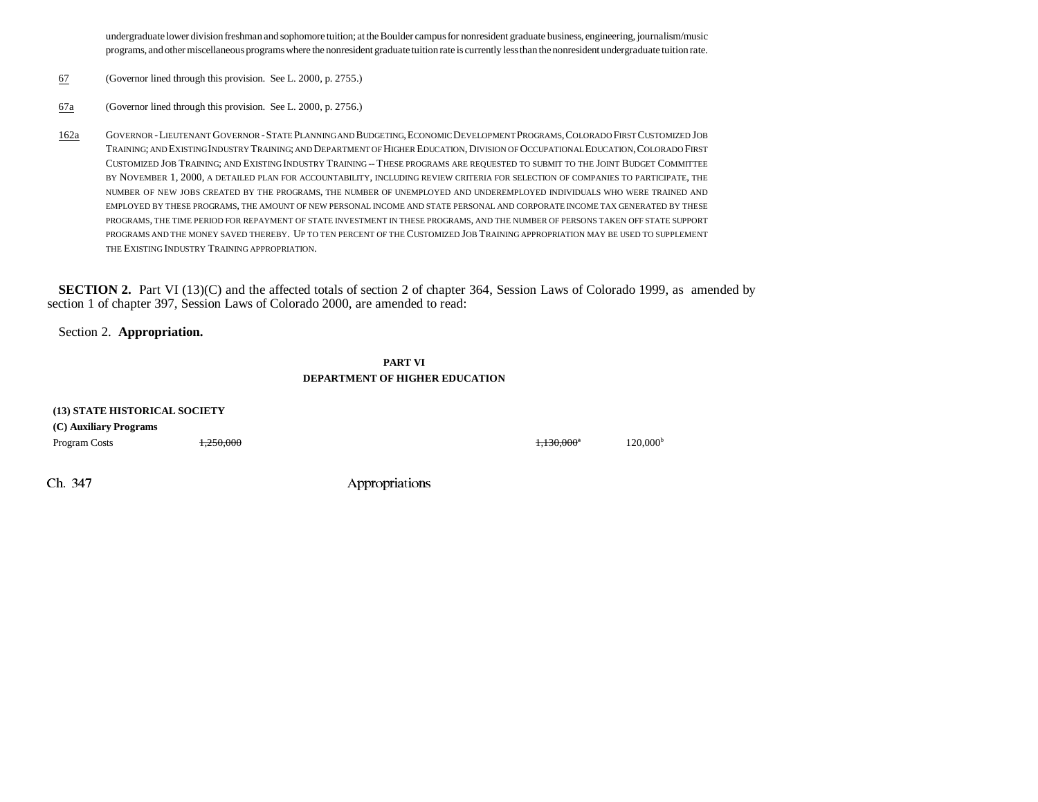undergraduate lower division freshman and sophomore tuition; at the Boulder campus for nonresident graduate business, engineering, journalism/music programs, and other miscellaneous programs where the nonresident graduate tuition rate is currently less than the nonresident undergraduate tuition rate.

- 67(Governor lined through this provision. See L. 2000, p. 2755.)
- 67a(Governor lined through this provision. See L. 2000, p. 2756.)
- 162a GOVERNOR - LIEUTENANT GOVERNOR - STATE PLANNING AND BUDGETING, ECONOMIC DEVELOPMENT PROGRAMS, COLORADO FIRST CUSTOMIZED JOB Training; and Existing Industry Training; and Department of Higher Education, Division of Occupational Education, Colorado First Customized Job Training; and Existing Industry Training -- These programs are requested to submit to the Joint Budget Committee BY NOVEMBER 1, 2000, A DETAILED PLAN FOR ACCOUNTABILITY, INCLUDING REVIEW CRITERIA FOR SELECTION OF COMPANIES TO PARTICIPATE, THE NUMBER OF NEW JOBS CREATED BY THE PROGRAMS, THE NUMBER OF UNEMPLOYED AND UNDEREMPLOYED INDIVIDUALS WHO WERE TRAINED AND EMPLOYED BY THESE PROGRAMS, THE AMOUNT OF NEW PERSONAL INCOME AND STATE PERSONAL AND CORPORATE INCOME TAX GENERATED BY THESE PROGRAMS, THE TIME PERIOD FOR REPAYMENT OF STATE INVESTMENT IN THESE PROGRAMS, AND THE NUMBER OF PERSONS TAKEN OFF STATE SUPPORT programs and the money saved thereby. Up to ten percent of the Customized Job Training appropriation may be used to supplement THE EXISTING INDUSTRY TRAINING APPROPRIATION.

**SECTION 2.** Part VI (13)(C) and the affected totals of section 2 of chapter 364, Session Laws of Colorado 1999, as amended by section 1 of chapter 397, Session Laws of Colorado 2000, are amended to read:

Section 2. **Appropriation.**

**PART VIDEPARTMENT OF HIGHER EDUCATION**

| (13) STATE HISTORICAL SOCIETY |           |                                   |                      |
|-------------------------------|-----------|-----------------------------------|----------------------|
| (C) Auxiliary Programs        |           |                                   |                      |
| Program Costs                 | 1,250,000 | <del>1,130,000</del> <sup>a</sup> | 120,000 <sup>b</sup> |
|                               |           |                                   |                      |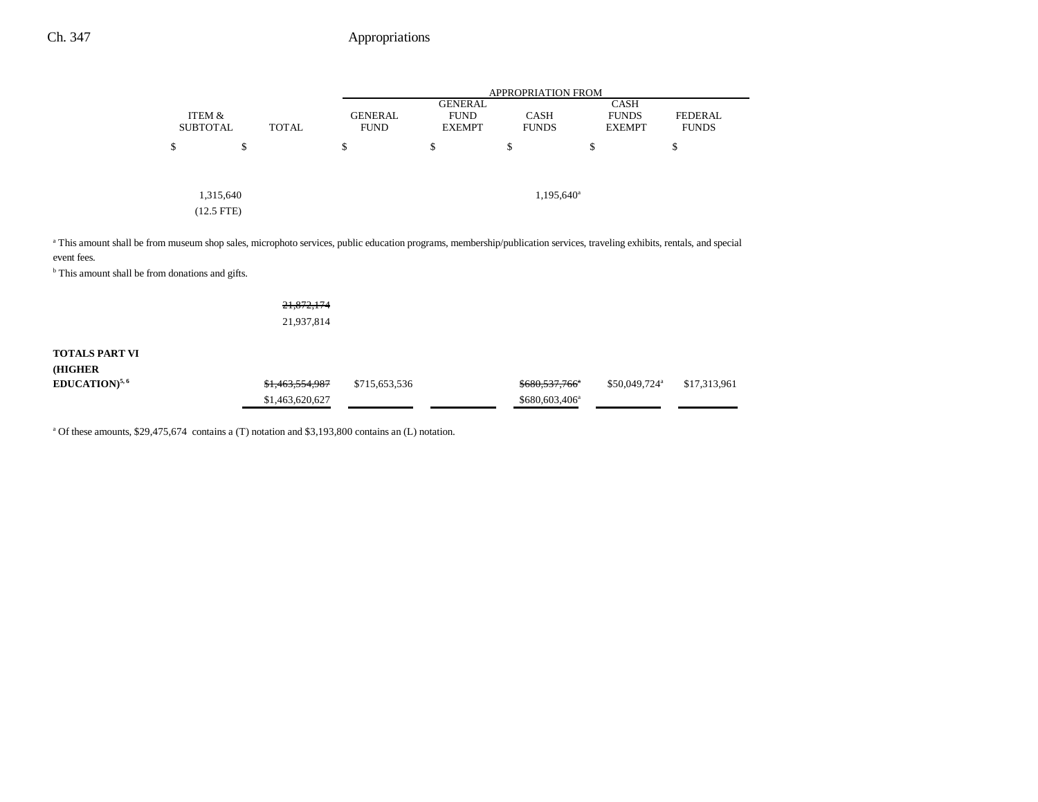# Ch. 347 Appropriations

|                                                                                                                                                                                                    |                           |              |                               |                                                | <b>APPROPRIATION FROM</b>   |                                              |                                |
|----------------------------------------------------------------------------------------------------------------------------------------------------------------------------------------------------|---------------------------|--------------|-------------------------------|------------------------------------------------|-----------------------------|----------------------------------------------|--------------------------------|
|                                                                                                                                                                                                    | ITEM &<br><b>SUBTOTAL</b> | <b>TOTAL</b> | <b>GENERAL</b><br><b>FUND</b> | <b>GENERAL</b><br><b>FUND</b><br><b>EXEMPT</b> | <b>CASH</b><br><b>FUNDS</b> | <b>CASH</b><br><b>FUNDS</b><br><b>EXEMPT</b> | <b>FEDERAL</b><br><b>FUNDS</b> |
|                                                                                                                                                                                                    | \$                        | \$           | \$                            | \$                                             | \$                          | S                                            | \$                             |
|                                                                                                                                                                                                    | 1,315,640<br>$(12.5$ FTE) |              |                               |                                                | 1,195,640 <sup>a</sup>      |                                              |                                |
| <sup>a</sup> This amount shall be from museum shop sales, microphoto services, public education programs, membership/publication services, traveling exhibits, rentals, and special<br>event fees. |                           |              |                               |                                                |                             |                                              |                                |

**b** This amount shall be from donations and gifts.

| <del>21,872,174</del> |
|-----------------------|
| 21,937,814            |

## **TOTALS PART VI (HIGHER EDUCATION**)<sup>5,6</sup> \$1,463,554,987 \$715,653,536 \$680,537,766<sup>\*</sup> \$50,049,724<sup>a</sup> \$17,313,961  $$1,463,620,627$   $$680,603,406^a$

<sup>a</sup> Of these amounts, \$29,475,674 contains a (T) notation and \$3,193,800 contains an (L) notation.